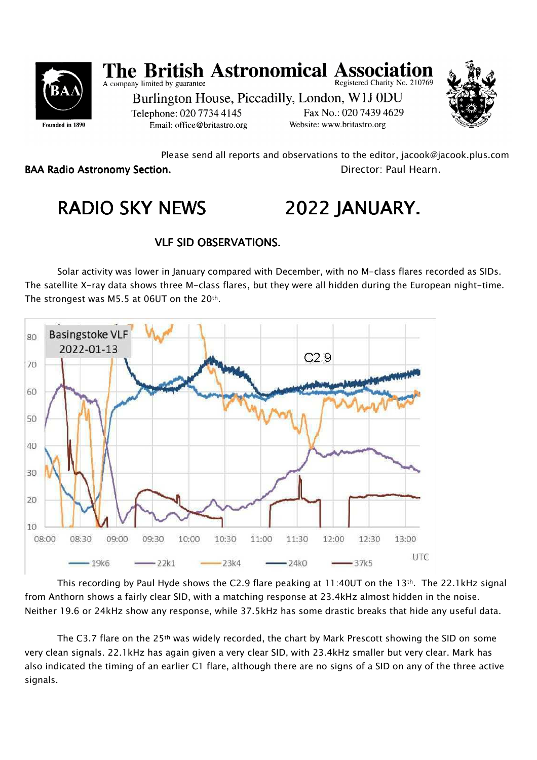

#### **The British Astronomical Ass** A company limited by guarantee Registered Charity No. 210769

Burlington House, Piccadilly, London, W1J 0DU Telephone: 020 7734 4145 Fax No.: 020 7439 4629 Website: www.britastro.org Email: office@britastro.org



 Please send all reports and observations to the editor, jacook@jacook.plus.com BAA Radio Astronomy Section. The contractor of the Director: Paul Hearn.

# RADIO SKY NEWS 2022 JANUARY.

# VLF SID OBSERVATIONS.

Solar activity was lower in January compared with December, with no M-class flares recorded as SIDs. The satellite X-ray data shows three M-class flares, but they were all hidden during the European night-time. The strongest was M5.5 at 06UT on the 20th.



This recording by Paul Hyde shows the C2.9 flare peaking at 11:40UT on the 13th. The 22.1kHz signal from Anthorn shows a fairly clear SID, with a matching response at 23.4kHz almost hidden in the noise. Neither 19.6 or 24kHz show any response, while 37.5kHz has some drastic breaks that hide any useful data.

The C3.7 flare on the 25th was widely recorded, the chart by Mark Prescott showing the SID on some very clean signals. 22.1kHz has again given a very clear SID, with 23.4kHz smaller but very clear. Mark has also indicated the timing of an earlier C1 flare, although there are no signs of a SID on any of the three active signals.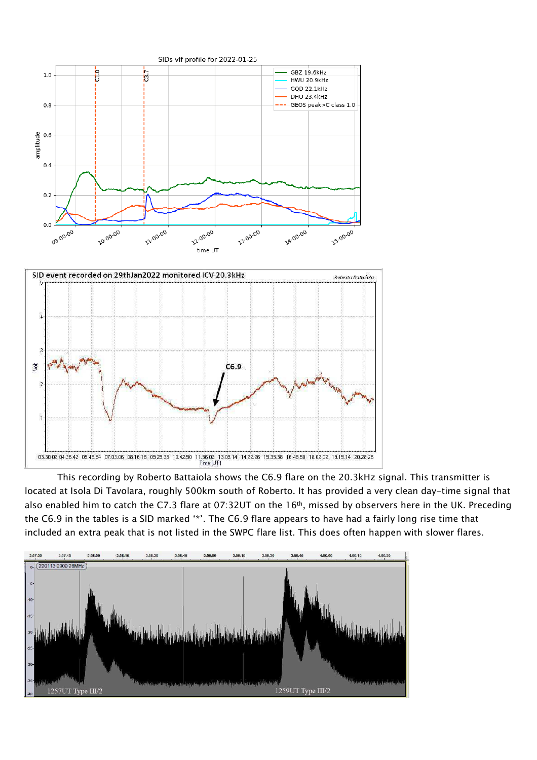

This recording by Roberto Battaiola shows the C6.9 flare on the 20.3kHz signal. This transmitter is located at Isola Di Tavolara, roughly 500km south of Roberto. It has provided a very clean day-time signal that also enabled him to catch the C7.3 flare at 07:32UT on the 16th, missed by observers here in the UK. Preceding the C6.9 in the tables is a SID marked '\*'. The C6.9 flare appears to have had a fairly long rise time that included an extra peak that is not listed in the SWPC flare list. This does often happen with slower flares.

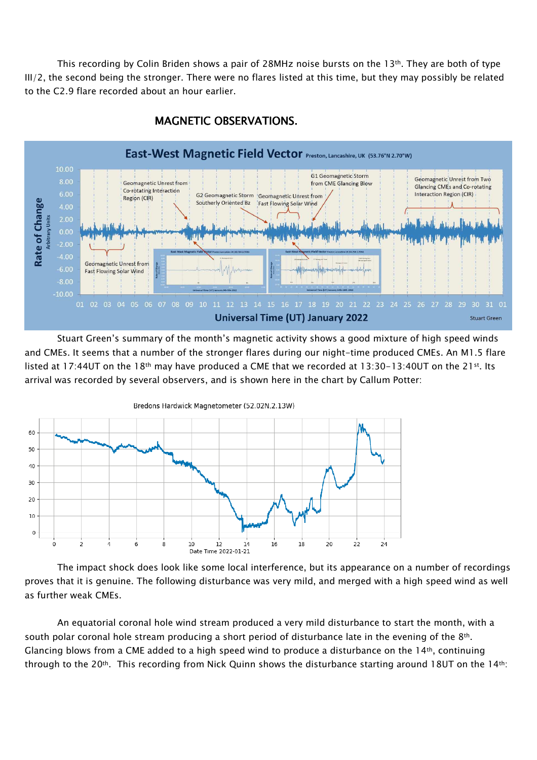This recording by Colin Briden shows a pair of 28MHz noise bursts on the 13<sup>th</sup>. They are both of type III/2, the second being the stronger. There were no flares listed at this time, but they may possibly be related to the C2.9 flare recorded about an hour earlier.



#### MAGNETIC OBSERVATIONS.

Stuart Green's summary of the month's magnetic activity shows a good mixture of high speed winds and CMEs. It seems that a number of the stronger flares during our night-time produced CMEs. An M1.5 flare listed at 17:44UT on the 18<sup>th</sup> may have produced a CME that we recorded at 13:30-13:40UT on the 21<sup>st</sup>. Its arrival was recorded by several observers, and is shown here in the chart by Callum Potter:



The impact shock does look like some local interference, but its appearance on a number of recordings proves that it is genuine. The following disturbance was very mild, and merged with a high speed wind as well as further weak CMEs.

An equatorial coronal hole wind stream produced a very mild disturbance to start the month, with a south polar coronal hole stream producing a short period of disturbance late in the evening of the 8<sup>th</sup>. Glancing blows from a CME added to a high speed wind to produce a disturbance on the  $14th$ , continuing through to the 20<sup>th</sup>. This recording from Nick Quinn shows the disturbance starting around 18UT on the 14<sup>th</sup>: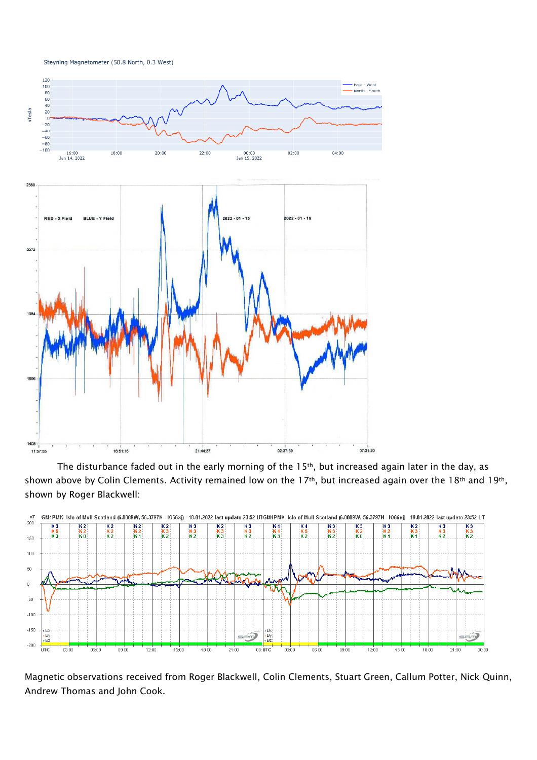Steyning Magnetometer (50.8 North, 0.3 West)



The disturbance faded out in the early morning of the 15<sup>th</sup>, but increased again later in the day, as shown above by Colin Clements. Activity remained low on the 17<sup>th</sup>, but increased again over the 18<sup>th</sup> and 19<sup>th</sup>, shown by Roger Blackwell:



Magnetic observations received from Roger Blackwell, Colin Clements, Stuart Green, Callum Potter, Nick Quinn, Andrew Thomas and John Cook.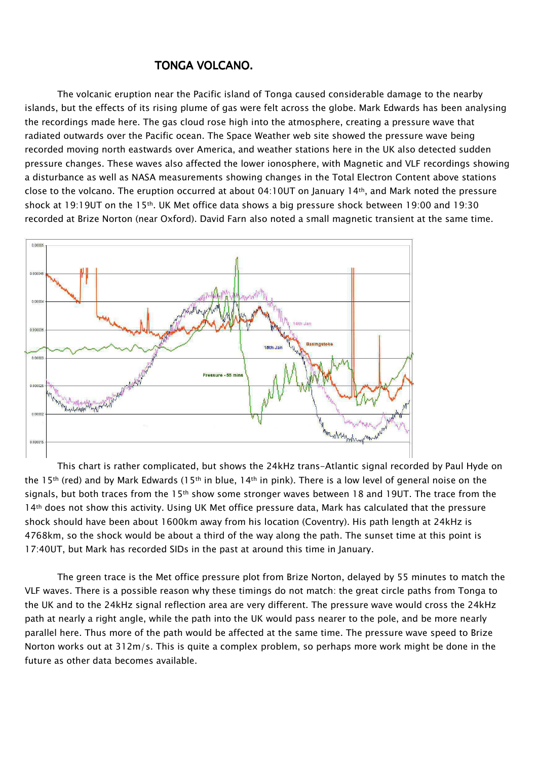#### TONGA VOLCANO.

The volcanic eruption near the Pacific island of Tonga caused considerable damage to the nearby islands, but the effects of its rising plume of gas were felt across the globe. Mark Edwards has been analysing the recordings made here. The gas cloud rose high into the atmosphere, creating a pressure wave that radiated outwards over the Pacific ocean. The Space Weather web site showed the pressure wave being recorded moving north eastwards over America, and weather stations here in the UK also detected sudden pressure changes. These waves also affected the lower ionosphere, with Magnetic and VLF recordings showing a disturbance as well as NASA measurements showing changes in the Total Electron Content above stations close to the volcano. The eruption occurred at about 04:10UT on January 14th, and Mark noted the pressure shock at 19:19UT on the 15th. UK Met office data shows a big pressure shock between 19:00 and 19:30 recorded at Brize Norton (near Oxford). David Farn also noted a small magnetic transient at the same time.



This chart is rather complicated, but shows the 24kHz trans-Atlantic signal recorded by Paul Hyde on the 15<sup>th</sup> (red) and by Mark Edwards (15<sup>th</sup> in blue, 14<sup>th</sup> in pink). There is a low level of general noise on the signals, but both traces from the 15<sup>th</sup> show some stronger waves between 18 and 19UT. The trace from the 14<sup>th</sup> does not show this activity. Using UK Met office pressure data, Mark has calculated that the pressure shock should have been about 1600km away from his location (Coventry). His path length at 24kHz is 4768km, so the shock would be about a third of the way along the path. The sunset time at this point is 17:40UT, but Mark has recorded SIDs in the past at around this time in January.

The green trace is the Met office pressure plot from Brize Norton, delayed by 55 minutes to match the VLF waves. There is a possible reason why these timings do not match: the great circle paths from Tonga to the UK and to the 24kHz signal reflection area are very different. The pressure wave would cross the 24kHz path at nearly a right angle, while the path into the UK would pass nearer to the pole, and be more nearly parallel here. Thus more of the path would be affected at the same time. The pressure wave speed to Brize Norton works out at 312m/s. This is quite a complex problem, so perhaps more work might be done in the future as other data becomes available.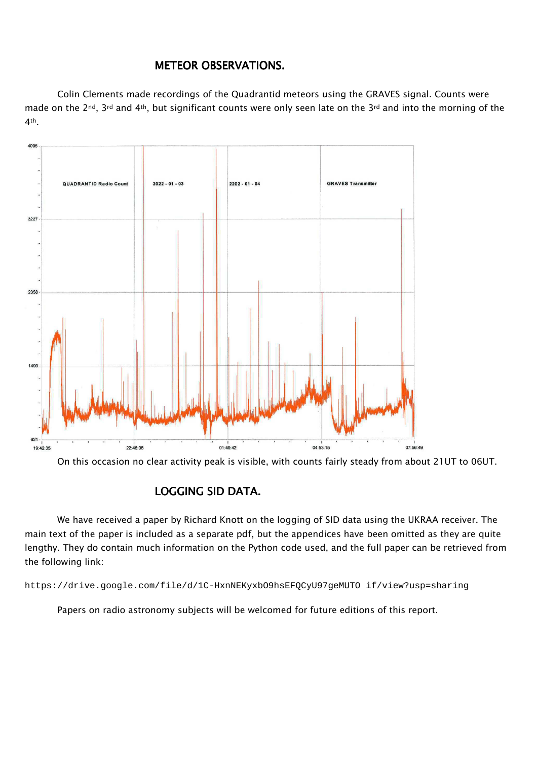## METEOR OBSERVATIONS.

Colin Clements made recordings of the Quadrantid meteors using the GRAVES signal. Counts were made on the 2<sup>nd</sup>, 3<sup>rd</sup> and 4<sup>th</sup>, but significant counts were only seen late on the 3<sup>rd</sup> and into the morning of the 4th.



On this occasion no clear activity peak is visible, with counts fairly steady from about 21UT to 06UT.

## LOGGING SID DATA.

We have received a paper by Richard Knott on the logging of SID data using the UKRAA receiver. The main text of the paper is included as a separate pdf, but the appendices have been omitted as they are quite lengthy. They do contain much information on the Python code used, and the full paper can be retrieved from the following link:

https://drive.google.com/file/d/1C-HxnNEKyxbO9hsEFQCyU97geMUTO\_if/view?usp=sharing

Papers on radio astronomy subjects will be welcomed for future editions of this report.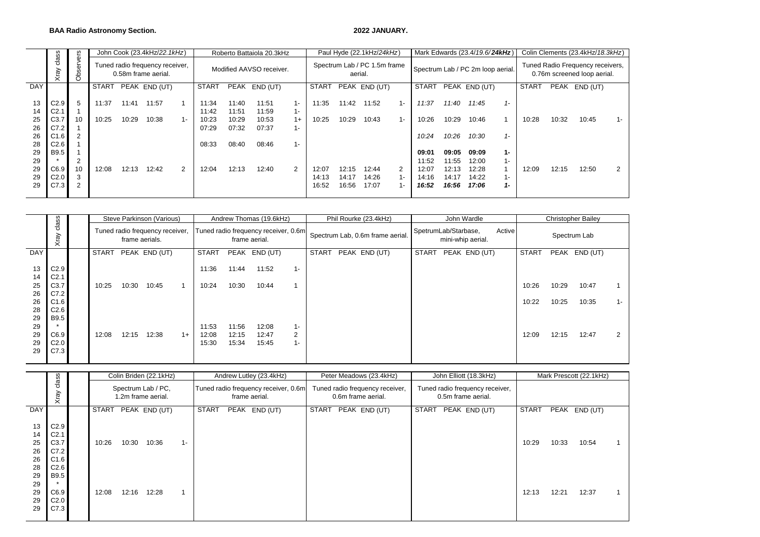#### **BAA Radio Astronomy Section. 2022 JANUARY.**

|     |                  | ဖု                            |              |       | John Cook (23.4kHz/22.1kHz)                            |                          |       |       | Roberto Battaiola 20.3kHz |                |                                         |       | Paul Hyde (22.1kHz/24kHz) |                |       |       | Mark Edwards (23.4/19.6/24kHz)    |       |                                                                 |       | Colin Clements (23.4kHz/18.3kHz) |       |
|-----|------------------|-------------------------------|--------------|-------|--------------------------------------------------------|--------------------------|-------|-------|---------------------------|----------------|-----------------------------------------|-------|---------------------------|----------------|-------|-------|-----------------------------------|-------|-----------------------------------------------------------------|-------|----------------------------------|-------|
|     | class<br>Xray    | $\overline{\omega}$<br>Φ<br>ő |              |       | Tuned radio frequency receiver,<br>0.58m frame aerial. | Modified AAVSO receiver. |       |       |                           |                | Spectrum Lab / PC 1.5m frame<br>aerial. |       |                           |                |       |       | Spectrum Lab / PC 2m loop aerial. |       | Tuned Radio Frequency receivers,<br>0.76m screened loop aerial. |       |                                  |       |
| DAY |                  |                               | <b>START</b> |       | PEAK END (UT)                                          |                          | START |       | PEAK END (UT)             |                | <b>START</b>                            |       | PEAK END (UT)             |                | START |       | PEAK END (UT)                     |       | START                                                           |       | PEAK END (UT)                    |       |
|     |                  |                               |              |       |                                                        |                          |       |       |                           |                |                                         |       |                           |                |       |       |                                   |       |                                                                 |       |                                  |       |
| 13  | C2.9             | -5                            | 11:37        | 11:41 | 11:57                                                  |                          | 11:34 | 11:40 | 11:51                     | 1-             | 11:35                                   | 11:42 | 11:52                     | $1 -$          | 11:37 | 11:40 | 11:45                             | $1 -$ |                                                                 |       |                                  |       |
| 14  | C <sub>2.1</sub> |                               |              |       |                                                        |                          | 11:42 | 11:51 | 11:59                     | $1 -$          |                                         |       |                           |                |       |       |                                   |       |                                                                 |       |                                  |       |
| 25  | C3.7             | 10                            | 10:25        | 10:29 | 10:38                                                  | 1-                       | 10:23 | 10:29 | 10:53                     | $1+$           | 10:25                                   | 10:29 | 10:43                     | $1 -$          | 10:26 | 10:29 | 10:46                             |       | 10:28                                                           | 10:32 | 10:45                            | $1 -$ |
| 26  | C7.2             |                               |              |       |                                                        |                          | 07:29 | 07:32 | 07:37                     | 1-             |                                         |       |                           |                |       |       |                                   |       |                                                                 |       |                                  |       |
| 26  | C1.6             | 2                             |              |       |                                                        |                          |       |       |                           |                |                                         |       |                           |                | 10:24 | 10:26 | 10:30                             | $1 -$ |                                                                 |       |                                  |       |
| 28  | C2.6             |                               |              |       |                                                        |                          | 08:33 | 08:40 | 08:46                     | $1 -$          |                                         |       |                           |                |       |       |                                   |       |                                                                 |       |                                  |       |
| 29  | B9.5             |                               |              |       |                                                        |                          |       |       |                           |                |                                         |       |                           |                | 09:01 | 09:05 | 09:09                             | $1 -$ |                                                                 |       |                                  |       |
| 29  | $\star$          |                               |              |       |                                                        |                          |       |       |                           |                |                                         |       |                           |                | 11:52 | 11:55 | 12:00                             | $1 -$ |                                                                 |       |                                  |       |
| 29  | C6.9             | 10                            | 12:08        | 12:13 | 12:42                                                  | 2                        | 12:04 | 12:13 | 12:40                     | $\overline{2}$ | 12:07                                   | 12:15 | 12:44                     | $\overline{2}$ | 12:07 | 12:13 | 12:28                             |       | 12:09                                                           | 12:15 | 12:50                            | 2     |
| 29  | C2.0             | 3                             |              |       |                                                        |                          |       |       |                           |                | 14:13                                   | 14:17 | 14:26                     | $1 -$          | 14:16 | 14:17 | 14:22                             | 1 –   |                                                                 |       |                                  |       |
| 29  | C7.3             | 2                             |              |       |                                                        |                          |       |       |                           |                | 16:52                                   | 16:56 | 17:07                     | $1 -$          | 16:52 | 16:56 | 17:06                             | 1-    |                                                                 |       |                                  |       |
|     |                  |                               |              |       |                                                        |                          |       |       |                           |                |                                         |       |                           |                |       |       |                                   |       |                                                                 |       |                                  |       |

|                                        |                                                                         | Steve Parkinson (Various)                         |       |                        | Andrew Thomas (19.6kHz)                               |                                                       |                         |                         |                                  |              | Phil Rourke (23.4kHz) |                                                       |  | John Wardle  |              | <b>Christopher Bailey</b>                             |  |                |                |                         |                |
|----------------------------------------|-------------------------------------------------------------------------|---------------------------------------------------|-------|------------------------|-------------------------------------------------------|-------------------------------------------------------|-------------------------|-------------------------|----------------------------------|--------------|-----------------------|-------------------------------------------------------|--|--------------|--------------|-------------------------------------------------------|--|----------------|----------------|-------------------------|----------------|
|                                        | class<br>Xray                                                           | Tuned radio frequency receiver,<br>frame aerials. |       |                        | Tuned radio frequency receiver, 0.6m<br>frame aerial. |                                                       |                         |                         | Spectrum Lab, 0.6m frame aerial. |              |                       | SpetrumLab/Starbase,<br>Active<br>mini-whip aerial.   |  |              | Spectrum Lab |                                                       |  |                |                |                         |                |
| <b>DAY</b>                             |                                                                         | <b>START</b>                                      |       | PEAK END (UT)          |                                                       | <b>START</b>                                          |                         | PEAK END (UT)           |                                  | <b>START</b> |                       | PEAK END (UT)                                         |  | <b>START</b> |              | PEAK END (UT)                                         |  | <b>START</b>   |                | PEAK END (UT)           |                |
| 13<br>14<br>25<br>26<br>26<br>28<br>29 | C2.9<br>C <sub>2.1</sub><br>C3.7<br>C7.2<br>C1.6<br>C2.6<br><b>B9.5</b> | 10:25                                             | 10:30 | 10:45                  |                                                       | 11:36<br>10:24                                        | 11:44<br>10:30          | 11:52<br>10:44          | $1 -$                            |              |                       |                                                       |  |              |              |                                                       |  | 10:26<br>10:22 | 10:29<br>10:25 | 10:47<br>10:35          | $1 -$          |
| 29<br>29<br>29<br>29                   | C6.9<br>C <sub>2.0</sub><br>C7.3                                        | 12:08                                             | 12:15 | 12:38                  | $1+$                                                  | 11:53<br>12:08<br>15:30                               | 11:56<br>12:15<br>15:34 | 12:08<br>12:47<br>15:45 | $1 -$<br>2<br>$1 -$              |              |                       |                                                       |  |              |              |                                                       |  | 12:09          | 12:15          | 12:47                   | $\overline{2}$ |
|                                        |                                                                         |                                                   |       |                        |                                                       |                                                       |                         |                         |                                  |              |                       |                                                       |  |              |              |                                                       |  |                |                |                         |                |
|                                        | class                                                                   |                                                   |       | Colin Briden (22.1kHz) |                                                       |                                                       |                         | Andrew Lutley (23.4kHz) |                                  |              |                       | Peter Meadows (23.4kHz)                               |  |              |              | John Elliott (18.3kHz)                                |  |                |                | Mark Prescott (22.1kHz) |                |
|                                        | Xray                                                                    | Spectrum Lab / PC.<br>1.2m frame aerial.          |       |                        |                                                       | Tuned radio frequency receiver, 0.6m<br>frame aerial. |                         |                         |                                  |              |                       | Tuned radio frequency receiver,<br>0.6m frame aerial. |  |              |              | Tuned radio frequency receiver,<br>0.5m frame aerial. |  |                |                |                         |                |

|                                  |                                                          |                                          |       | Colin Briden (22.1kHz) |                                                       |              |  | Andrew Lutley (23.4kHz)                               |              |  | Peter Meadows (23.4kHz) |                                                       | John Elliott (18.3kHz) |       |       | Mark Prescott (22.1kHz) |  |
|----------------------------------|----------------------------------------------------------|------------------------------------------|-------|------------------------|-------------------------------------------------------|--------------|--|-------------------------------------------------------|--------------|--|-------------------------|-------------------------------------------------------|------------------------|-------|-------|-------------------------|--|
|                                  | class<br>Xray                                            | Spectrum Lab / PC,<br>1.2m frame aerial. |       |                        | Tuned radio frequency receiver, 0.6m<br>frame aerial. |              |  | Tuned radio frequency receiver,<br>0.6m frame aerial. |              |  |                         | Tuned radio frequency receiver,<br>0.5m frame aerial. |                        |       |       |                         |  |
| <b>DAY</b>                       |                                                          | <b>START</b>                             |       | PEAK END (UT)          |                                                       | <b>START</b> |  | PEAK END (UT)                                         | <b>START</b> |  | PEAK END (UT)           | START                                                 | PEAK END (UT)          | START | PEAK  | END (UT)                |  |
| 13<br>14<br>25<br>26<br>26<br>28 | C2.9<br>C <sub>2.1</sub><br>C3.7<br>C7.2<br>C1.6<br>C2.6 | 10:26                                    | 10:30 | 10:36                  | $1 -$                                                 |              |  |                                                       |              |  |                         |                                                       |                        | 10:29 | 10:33 | 10:54                   |  |
| 29<br>29<br>29<br>29<br>29       | <b>B9.5</b><br>C6.9<br>C2.0<br>C7.3                      | 12:08                                    | 12:16 | 12:28                  |                                                       |              |  |                                                       |              |  |                         |                                                       |                        | 12:13 | 12:21 | 12:37                   |  |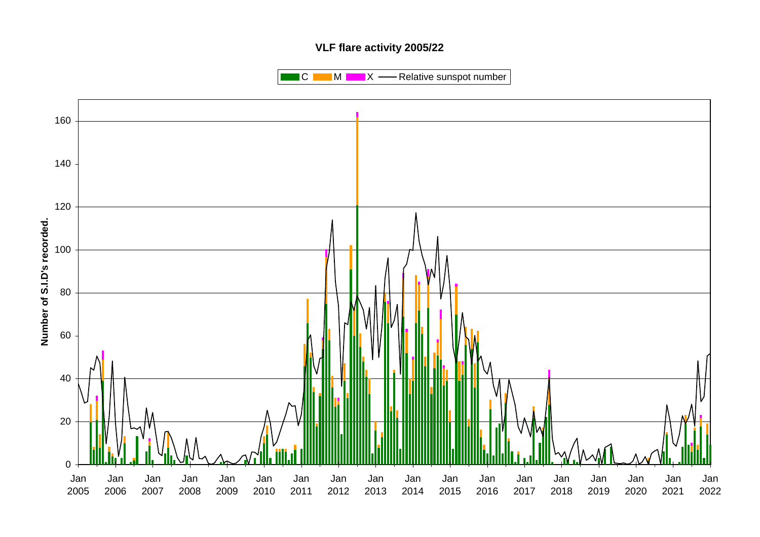#### **VLF flare activity 2005/22**

 $\blacksquare$  C  $\blacksquare$  M  $\blacksquare$   $\blacksquare$  X  $\blacksquare$  Relative sunspot number